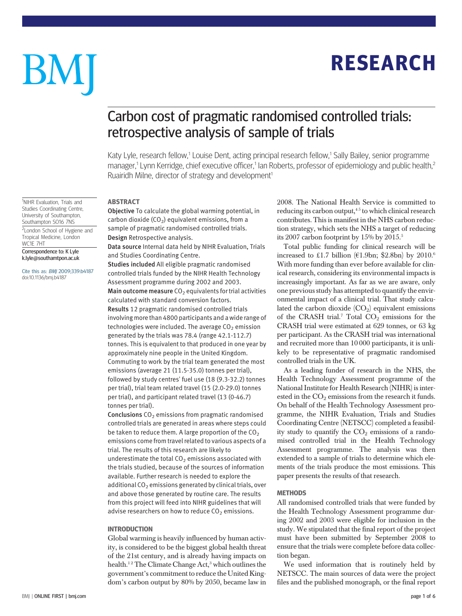## **RESEARCH** RESEARCH

# BM

## Carbon cost of pragmatic randomised controlled trials: retrospective analysis of sample of trials

Katy Lyle, research fellow,<sup>1</sup> Louise Dent, acting principal research fellow,<sup>1</sup> Sally Bailey, senior programme manager,<sup>1</sup> Lynn Kerridge, chief executive officer,<sup>1</sup> lan Roberts, professor of epidemiology and public health,<sup>2</sup> Ruairidh Milne, director of strategy and development<sup>1</sup>

**ABSTRACT** 

-----------<br>Objective To calculate the global warming potential, in carbon dioxide  $(CO<sub>2</sub>)$  equivalent emissions, from a sample of pragmatic randomised controlled trials. Design Retrospective analysis.

Data source Internal data held by NIHR Evaluation, Trials and Studies Coordinating Centre.

Studies included All eligible pragmatic randomised controlled trials funded by the NIHR Health Technology Assessment programme during 2002 and 2003. Main outcome measure  $CO<sub>2</sub>$  equivalents for trial activities calculated with standard conversion factors. Results 12 pragmatic randomised controlled trials involving more than 4800 participants and a wide range of technologies were included. The average  $CO<sub>2</sub>$  emission generated by the trials was 78.4 (range 42.1-112.7) tonnes. This is equivalent to that produced in one year by approximately nine people in the United Kingdom. Commuting to work by the trial team generated the most emissions (average 21 (11.5-35.0) tonnes per trial), followed by study centres' fuel use (18 (9.3-32.2) tonnes per trial), trial team related travel (15 (2.0-29.0) tonnes per trial), and participant related travel (13 (0-46.7) tonnes per trial).

**Conclusions**  $CO<sub>2</sub>$  emissions from pragmatic randomised controlled trials are generated in areas where steps could be taken to reduce them. A large proportion of the  $CO<sub>2</sub>$ emissions come from travel related to various aspects of a trial. The results of this research are likely to underestimate the total  $CO<sub>2</sub>$  emissions associated with the trials studied, because of the sources of information available. Further research is needed to explore the additional CO<sub>2</sub> emissions generated by clinical trials, over and above those generated by routine care. The results from this project will feed into NIHR guidelines that will advise researchers on how to reduce  $CO<sub>2</sub>$  emissions.

Global warming is heavily influenced by human activity, is considered to be the biggest global health threat of the 21st century, and is already having impacts on health.<sup>12</sup> The Climate Change Act,<sup>3</sup> which outlines the government's commitment to reduce the United Kingdom's carbon output by 80% by 2050, became law in 2008. The National Health Service is committed to reducing its carbon output, $45$  to which clinical research contributes. This is manifest in the NHS carbon reduction strategy, which sets the NHS a target of reducing its 2007 carbon footprint by 15% by 2015.<sup>5</sup>

Total public funding for clinical research will be increased to £1.7 billion ( $E1.9$ bn; \$2.8bn) by 2010.<sup>6</sup> With more funding than ever before available for clinical research, considering its environmental impacts is increasingly important. As far as we are aware, only one previous study has attempted to quantify the environmental impact of a clinical trial. That study calculated the carbon dioxide  $(CO_2)$  equivalent emissions of the CRASH trial.<sup>7</sup> Total  $CO<sub>2</sub>$  emissions for the CRASH trial were estimated at 629 tonnes, or 63 kg per participant. As the CRASH trial was international and recruited more than 10 000 participants, it is unlikely to be representative of pragmatic randomised controlled trials in the UK.

As a leading funder of research in the NHS, the Health Technology Assessment programme of the National Institute for Health Research (NIHR) is interested in the  $CO<sub>2</sub>$  emissions from the research it funds. On behalf of the Health Technology Assessment programme, the NIHR Evaluation, Trials and Studies Coordinating Centre (NETSCC) completed a feasibility study to quantify the  $CO<sub>2</sub>$  emissions of a randomised controlled trial in the Health Technology Assessment programme. The analysis was then extended to a sample of trials to determine which elements of the trials produce the most emissions. This paper presents the results of that research.

### **METHODS**

All randomised controlled trials that were funded by the Health Technology Assessment programme during 2002 and 2003 were eligible for inclusion in the study. We stipulated that the final report of the project must have been submitted by September 2008 to ensure that the trials were complete before data collection began.

We used information that is routinely held by NETSCC. The main sources of data were the project files and the published monograph, or the final report

<sup>1</sup>NIHR Evaluation, Trials and Studies Coordinating Centre, University of Southampton, Southampton SO16 7NS

<sup>2</sup> London School of Hygiene and Tropical Medicine, London WC1E 7HT

Correspondence to: K Lyle k.lyle@southamtpon.ac.uk

Cite this as: BMJ 2009;339:b4187 doi:10.1136/bmj.b4187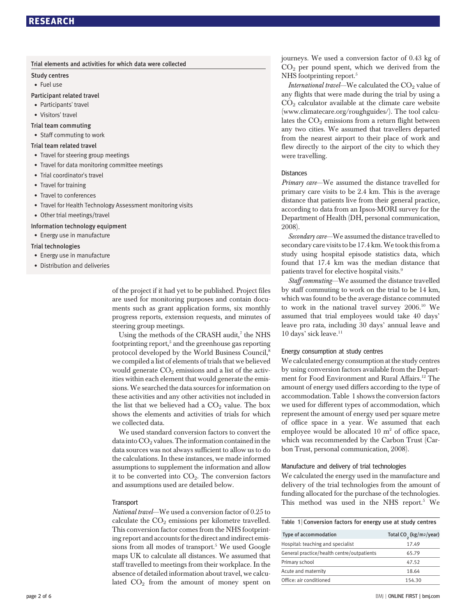| Trial elements and activities for which data were collected |  |  |  |  |  |  |
|-------------------------------------------------------------|--|--|--|--|--|--|
|-------------------------------------------------------------|--|--|--|--|--|--|

Study centres

Fuel use

#### Participant related travel

- Participants' travel
- Visitors' travel
- Trial team commuting
- Staff commuting to work

#### Trial team related travel

- Travel for steering group meetings
- Travel for data monitoring committee meetings
- Trial coordinator's travel
- Travel for training
- Travel to conferences
- Travel for Health Technology Assessment monitoring visits
- Other trial meetings/travel

#### Information technology equipment

• Energy use in manufacture

#### Trial technologies

- Energy use in manufacture
- Distribution and deliveries

of the project if it had yet to be published. Project files are used for monitoring purposes and contain documents such as grant application forms, six monthly progress reports, extension requests, and minutes of steering group meetings.

Using the methods of the CRASH audit, $^7$  the NHS footprinting report, $5$  and the greenhouse gas reporting protocol developed by the World Business Council,<sup>8</sup> we compiled a list of elements of trials that we believed would generate  $CO<sub>2</sub>$  emissions and a list of the activities within each element that would generate the emissions. We searched the data sources for information on these activities and any other activities not included in the list that we believed had a  $CO<sub>2</sub>$  value. The box shows the elements and activities of trials for which we collected data.

We used standard conversion factors to convert the data into  $CO<sub>2</sub>$  values. The information contained in the data sources was not always sufficient to allow us to do the calculations. In these instances, we made informed assumptions to supplement the information and allow it to be converted into  $CO<sub>2</sub>$ . The conversion factors and assumptions used are detailed below.

#### **Transport**

National travel—We used a conversion factor of 0.25 to calculate the  $CO<sub>2</sub>$  emissions per kilometre travelled. This conversion factor comes from the NHS footprinting report and accounts for the direct and indirect emissions from all modes of transport.<sup>5</sup> We used Google maps UK to calculate all distances. We assumed that staff travelled to meetings from their workplace. In the absence of detailed information about travel, we calculated  $CO<sub>2</sub>$  from the amount of money spent on journeys. We used a conversion factor of 0.43 kg of  $CO<sub>2</sub>$  per pound spent, which we derived from the NHS footprinting report.<sup>5</sup>

International travel—We calculated the  $CO<sub>2</sub>$  value of any flights that were made during the trial by using a  $CO<sub>2</sub>$  calculator available at the climate care website (www.climatecare.org/roughguides/). The tool calculates the  $CO<sub>2</sub>$  emissions from a return flight between any two cities. We assumed that travellers departed from the nearest airport to their place of work and flew directly to the airport of the city to which they were travelling.

#### **Distances**

Primary care—We assumed the distance travelled for primary care visits to be 2.4 km. This is the average distance that patients live from their general practice, according to data from an Ipsos-MORI survey for the Department of Health (DH, personal communication, 2008).

Secondary care—We assumed the distance travelled to secondary care visits to be 17.4 km. We took this from a study using hospital episode statistics data, which found that 17.4 km was the median distance that patients travel for elective hospital visits.<sup>9</sup>

Staff commuting—We assumed the distance travelled by staff commuting to work on the trial to be 14 km, which was found to be the average distance commuted to work in the national travel survey 2006.10 We assumed that trial employees would take 40 days' leave pro rata, including 30 days' annual leave and 10 days' sick leave.<sup>11</sup>

#### Energy consumption at study centres

We calculated energy consumption at the study centres by using conversion factors available from the Department for Food Environment and Rural Affairs.<sup>12</sup> The amount of energy used differs according to the type of accommodation. Table 1 shows the conversion factors we used for different types of accommodation, which represent the amount of energy used per square metre of office space in a year. We assumed that each employee would be allocated  $10 \text{ m}^2$  of office space, which was recommended by the Carbon Trust (Carbon Trust, personal communication, 2008).

#### Manufacture and delivery of trial technologies

We calculated the energy used in the manufacture and delivery of the trial technologies from the amount of funding allocated for the purchase of the technologies. This method was used in the NHS report.<sup>5</sup> We

#### Table 1 | Conversion factors for energy use at study centres

| <b>Type of accommodation</b>               | Total CO <sub>2</sub> (kg/m2/year) |  |  |
|--------------------------------------------|------------------------------------|--|--|
| Hospital: teaching and specialist          | 17.49                              |  |  |
| General practice/health centre/outpatients | 65.79                              |  |  |
| Primary school                             | 47.52                              |  |  |
| Acute and maternity                        | 18.64                              |  |  |
| Office: air conditioned                    | 154.30                             |  |  |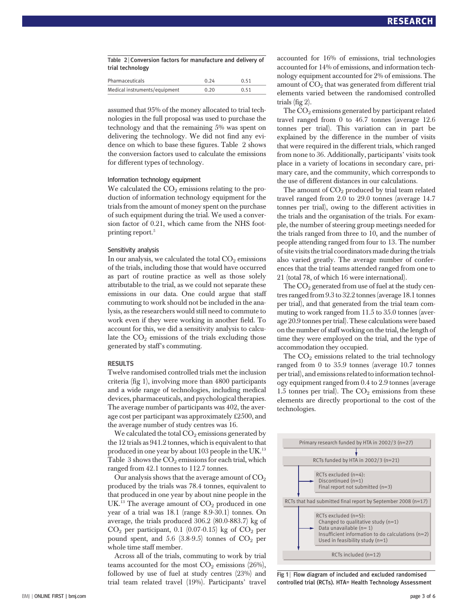| Table 2   Conversion factors for manufacture and delivery of |  |  |  |
|--------------------------------------------------------------|--|--|--|
| trial technology                                             |  |  |  |

| Pharmaceuticals               | 0.24 | 0.51 |  |
|-------------------------------|------|------|--|
| Medical instruments/equipment | 0.20 | 0.51 |  |
|                               |      |      |  |

assumed that 95% of the money allocated to trial technologies in the full proposal was used to purchase the technology and that the remaining 5% was spent on delivering the technology. We did not find any evidence on which to base these figures. Table 2 shows the conversion factors used to calculate the emissions for different types of technology.

#### Information technology equipment

We calculated the  $CO<sub>2</sub>$  emissions relating to the production of information technology equipment for the trials from the amount of money spent on the purchase of such equipment during the trial. We used a conversion factor of 0.21, which came from the NHS footprinting report.<sup>5</sup>

#### Sensitivity analysis

In our analysis, we calculated the total  $CO<sub>2</sub>$  emissions of the trials, including those that would have occurred as part of routine practice as well as those solely attributable to the trial, as we could not separate these emissions in our data. One could argue that staff commuting to work should not be included in the analysis, as the researchers would still need to commute to work even if they were working in another field. To account for this, we did a sensitivity analysis to calculate the  $CO<sub>2</sub>$  emissions of the trials excluding those generated by staff's commuting.

#### **RESULTS**

Twelve randomised controlled trials met the inclusion criteria (fig 1), involving more than 4800 participants and a wide range of technologies, including medical devices, pharmaceuticals, and psychological therapies. The average number of participants was 402, the average cost per participant was approximately £2500, and the average number of study centres was 16.

We calculated the total  $CO<sub>2</sub>$  emissions generated by the 12 trials as 941.2 tonnes, which is equivalent to that produced in one year by about 103 people in the UK.<sup>13</sup> Table 3 shows the  $CO<sub>2</sub>$  emissions for each trial, which ranged from 42.1 tonnes to 112.7 tonnes.

Our analysis shows that the average amount of  $CO<sub>2</sub>$ produced by the trials was 78.4 tonnes, equivalent to that produced in one year by about nine people in the UK.<sup>13</sup> The average amount of  $CO<sub>2</sub>$  produced in one year of a trial was 18.1 (range 8.9-30.1) tonnes. On average, the trials produced 306.2 (80.0-883.7) kg of  $CO<sub>2</sub>$  per participant, 0.1 (0.07-0.15) kg of  $CO<sub>2</sub>$  per pound spent, and 5.6  $(3.8-9.5)$  tonnes of  $CO<sub>2</sub>$  per whole time staff member.

Across all of the trials, commuting to work by trial teams accounted for the most  $CO<sub>2</sub>$  emissions (26%), followed by use of fuel at study centres (23%) and trial team related travel (19%). Participants' travel accounted for 16% of emissions, trial technologies accounted for 14% of emissions, and information technology equipment accounted for 2% of emissions. The amount of  $CO<sub>2</sub>$  that was generated from different trial elements varied between the randomised controlled trials (fig 2).

The  $CO<sub>2</sub>$  emissions generated by participant related travel ranged from 0 to 46.7 tonnes (average 12.6 tonnes per trial). This variation can in part be explained by the difference in the number of visits that were required in the different trials, which ranged from none to 36. Additionally, participants' visits took place in a variety of locations in secondary care, primary care, and the community, which corresponds to the use of different distances in our calculations.

The amount of  $CO<sub>2</sub>$  produced by trial team related travel ranged from 2.0 to 29.0 tonnes (average 14.7 tonnes per trial), owing to the different activities in the trials and the organisation of the trials. For example, the number of steering group meetings needed for the trials ranged from three to 10, and the number of people attending ranged from four to 13. The number of site visits the trial coordinators made during the trials also varied greatly. The average number of conferences that the trial teams attended ranged from one to 21 (total 78, of which 16 were international).

The  $CO<sub>2</sub>$  generated from use of fuel at the study centres ranged from 9.3 to 32.2 tonnes (average 18.1 tonnes per trial), and that generated from the trial team commuting to work ranged from 11.5 to 35.0 tonnes (average 20.9 tonnes per trial). These calculations were based on the number of staff working on the trial, the length of time they were employed on the trial, and the type of accommodation they occupied.

The  $CO<sub>2</sub>$  emissions related to the trial technology ranged from 0 to 35.9 tonnes (average 10.7 tonnes per trial), and emissions related to information technology equipment ranged from 0.4 to 2.9 tonnes (average 1.5 tonnes per trial). The  $CO<sub>2</sub>$  emissions from these elements are directly proportional to the cost of the technologies.



Fig 1 | Flow diagram of included and excluded randomised controlled trial (RCTs). HTA= Health Technology Assessment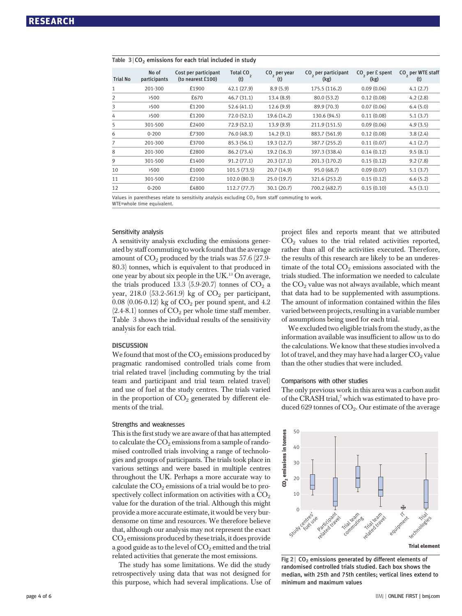| <b>Trial No</b> | No of<br>participants | Cost per participant<br>(to nearest $£100$ ) | <b>Total CO</b><br>(t) | $CO2$ per year<br>(t) | CO <sub>2</sub> per participant<br>(kg) | $CO2$ per £ spent<br>(kg) | CO <sub>2</sub> per WTE staff<br>(t) |
|-----------------|-----------------------|----------------------------------------------|------------------------|-----------------------|-----------------------------------------|---------------------------|--------------------------------------|
|                 | 201-300               | £1900                                        | 42.1 (27.9)            | 8.9(5.9)              | 175.5 (116.2)                           | 0.09(0.06)                | 4.1(2.7)                             |
| $\overline{2}$  | >500                  | £670                                         | 46.7(31.1)             | 13.4(8.9)             | 80.0 (53.2)                             | 0.12(0.08)                | 4.2(2.8)                             |
| 3               | >500                  | £1200                                        | 52.6(41.1)             | 12.6(9.9)             | 89.9 (70.3)                             | 0.07(0.06)                | 6.4(5.0)                             |
| 4               | >500                  | £1200                                        | 72.0(52.1)             | 19.6 (14.2)           | 130.6 (94.5)                            | 0.11(0.08)                | 5.1(3.7)                             |
| 5               | 301-500               | £2400                                        | 72.9(52.1)             | 13.9(9.9)             | 211.9 (151.5)                           | 0.09(0.06)                | 4.9(3.5)                             |
| 6               | $0 - 200$             | £7300                                        | 76.0(48.3)             | 14.2(9.1)             | 883.7 (561.9)                           | 0.12(0.08)                | 3.8(2.4)                             |
|                 | 201-300               | £3700                                        | 85.3 (56.1)            | 19.3(12.7)            | 387.7 (255.2)                           | 0.11(0.07)                | 4.1(2.7)                             |
| 8               | 201-300               | £2800                                        | 86.2 (73.4)            | 19.2(16.3)            | 397.3 (338.4)                           | 0.14(0.12)                | 9.5(8.1)                             |
| 9               | 301-500               | £1400                                        | 91.2(77.1)             | 20.3(17.1)            | 201.3 (170.2)                           | 0.15(0.12)                | 9.2(7.8)                             |
| 10              | >500                  | £1000                                        | 101.5(73.5)            | 20.7(14.9)            | 95.0 (68.7)                             | 0.09(0.07)                | 5.1(3.7)                             |
| 11              | 301-500               | £2100                                        | 102.0 (80.3)           | 25.0(19.7)            | 321.6 (253.2)                           | 0.15(0.12)                | 6.6(5.2)                             |
| 12              | $0 - 200$             | £4800                                        | 112.7(77.7)            | 30.1(20.7)            | 700.2 (482.7)                           | 0.15(0.10)                | 4.5(3.1)                             |

#### Table 3 <sup>|</sup> CO2 emissions for each trial included in study

Values in parentheses relate to sensitivity analysis excluding  $CO<sub>2</sub>$  from staff commuting to work. WTE=whole time equivalent.

#### Sensitivity analysis

A sensitivity analysis excluding the emissions generated by staff commuting to work found that the average amount of  $CO_2$  produced by the trials was 57.6 (27.9-80.3) tonnes, which is equivalent to that produced in one year by about six people in the UK.<sup>13</sup> On average, the trials produced 13.3 (5.9-20.7) tonnes of  $CO<sub>2</sub>$  a year,  $218.0$  (53.2-561.9) kg of  $CO<sub>2</sub>$  per participant, 0.08 (0.06-0.12) kg of  $CO<sub>2</sub>$  per pound spent, and 4.2  $(2.4-8.1)$  tonnes of  $CO<sub>2</sub>$  per whole time staff member. Table 3 shows the individual results of the sensitivity analysis for each trial.

#### **DISCUSSION**

We found that most of the  $\mathrm{CO}_2$  emissions produced by pragmatic randomised controlled trials come from trial related travel (including commuting by the trial team and participant and trial team related travel) and use of fuel at the study centres. The trials varied in the proportion of  $CO<sub>2</sub>$  generated by different elements of the trial.

#### Strengths and weaknesses

This is the first study we are aware of that has attempted to calculate the  $CO<sub>2</sub>$  emissions from a sample of randomised controlled trials involving a range of technologies and groups of participants. The trials took place in various settings and were based in multiple centres throughout the UK. Perhaps a more accurate way to calculate the  $CO<sub>2</sub>$  emissions of a trial would be to prospectively collect information on activities with a  $CO<sub>2</sub>$ value for the duration of the trial. Although this might provide a more accurate estimate, it would be very burdensome on time and resources. We therefore believe that, although our analysis may not represent the exact  $CO<sub>2</sub>$  emissions produced by these trials, it does provide a good guide as to the level of  $CO<sub>2</sub>$  emitted and the trial related activities that generate the most emissions.

The study has some limitations. We did the study retrospectively using data that was not designed for this purpose, which had several implications. Use of project files and reports meant that we attributed  $CO<sub>2</sub>$  values to the trial related activities reported, rather than all of the activities executed. Therefore, the results of this research are likely to be an underestimate of the total  $CO<sub>2</sub>$  emissions associated with the trials studied. The information we needed to calculate the  $CO<sub>2</sub>$  value was not always available, which meant that data had to be supplemented with assumptions. The amount of information contained within the files varied between projects, resulting in a variable number of assumptions being used for each trial.

We excluded two eligible trials from the study, as the information available was insufficient to allow us to do the calculations. We know that these studies involved a lot of travel, and they may have had a larger  $CO<sub>2</sub>$  value than the other studies that were included.

#### Comparisons with other studies

The only previous work in this area was a carbon audit of the CRASH trial,<sup>7</sup> which was estimated to have produced 629 tonnes of  $CO<sub>2</sub>$ . Our estimate of the average



Fig 2  $\vert$  CO<sub>2</sub> emissions generated by different elements of randomised controlled trials studied. Each box shows the median, with 25th and 75th centiles; vertical lines extend to minimum and maximum values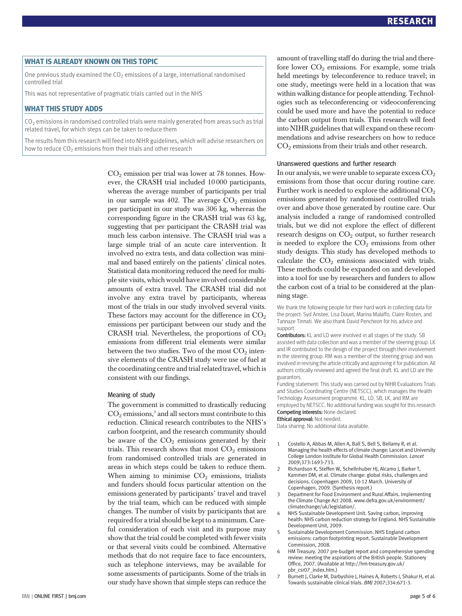## WHAT IS ALL AND THE THEORY OF THE THEORY OF THE THEORY OF THE THEORY OF THE THIS TOPIC COMPANY.

One previous study examined the CO $_2$  emissions of a large, international randomised controlled trial

This was not representative of pragmatic trials carried out in the NHS

## WHAT THIS STUDY ADDITIONAL THIS STUDY ADDITION

 $CO<sub>2</sub>$  emissions in randomised controlled trials were mainly generated from areas such as trial related travel, for which steps can be taken to reduce them

The results from this research will feed into NIHR guidelines, which will advise researchers on how to reduce  $CO<sub>2</sub>$  emissions from their trials and other research

> $CO<sub>2</sub>$  emission per trial was lower at 78 tonnes. However, the CRASH trial included 10 000 participants, whereas the average number of participants per trial in our sample was 402. The average  $CO<sub>2</sub>$  emission per participant in our study was 306 kg, whereas the corresponding figure in the CRASH trial was 63 kg, suggesting that per participant the CRASH trial was much less carbon intensive. The CRASH trial was a large simple trial of an acute care intervention. It involved no extra tests, and data collection was minimal and based entirely on the patients' clinical notes. Statistical data monitoring reduced the need for multiple site visits, which would have involved considerable amounts of extra travel. The CRASH trial did not involve any extra travel by participants, whereas most of the trials in our study involved several visits. These factors may account for the difference in  $CO<sub>2</sub>$ emissions per participant between our study and the CRASH trial. Nevertheless, the proportions of  $CO<sub>2</sub>$ emissions from different trial elements were similar between the two studies. Two of the most  $CO<sub>2</sub>$  intensive elements of the CRASH study were use of fuel at the coordinating centre and trial related travel, which is consistent with our findings.

#### Meaning of study

The government is committed to drastically reducing  $CO<sub>2</sub>$  emissions,<sup>3</sup> and all sectors must contribute to this reduction. Clinical research contributes to the NHS's carbon footprint, and the research community should be aware of the  $CO<sub>2</sub>$  emissions generated by their trials. This research shows that most  $CO<sub>2</sub>$  emissions from randomised controlled trials are generated in areas in which steps could be taken to reduce them. When aiming to minimise  $CO<sub>2</sub>$  emissions, trialists and funders should focus particular attention on the emissions generated by participants' travel and travel by the trial team, which can be reduced with simple changes. The number of visits by participants that are required for a trial should be kept to a minimum. Careful consideration of each visit and its purpose may show that the trial could be completed with fewer visits or that several visits could be combined. Alternative methods that do not require face to face encounters, such as telephone interviews, may be available for some assessments of participants. Some of the trials in our study have shown that simple steps can reduce the amount of travelling staff do during the trial and therefore lower  $CO<sub>2</sub>$  emissions. For example, some trials held meetings by teleconference to reduce travel; in one study, meetings were held in a location that was within walking distance for people attending. Technologies such as teleconferencing or videoconferencing could be used more and have the potential to reduce the carbon output from trials. This research will feed into NIHR guidelines that will expand on these recommendations and advise researchers on how to reduce  $CO<sub>2</sub>$  emissions from their trials and other research.

#### Unanswered questions and further research

In our analysis, we were unable to separate excess  $CO<sub>2</sub>$ emissions from those that occur during routine care. Further work is needed to explore the additional  $CO<sub>2</sub>$ emissions generated by randomised controlled trials over and above those generated by routine care. Our analysis included a range of randomised controlled trials, but we did not explore the effect of different research designs on CO<sub>2</sub> output, so further research is needed to explore the  $CO<sub>2</sub>$  emissions from other study designs. This study has developed methods to calculate the  $CO<sub>2</sub>$  emissions associated with trials. These methods could be expanded on and developed into a tool for use by researchers and funders to allow the carbon cost of a trial to be considered at the planning stage.

We thank the following people for their hard work in collecting data for the project: Syd Anstee, Lisa Douet, Marina Malaffo, Claire Rosten, and Tannaze Tinnati. We also thank David Pencheon for his advice and support.

Contributors: KL and LD were involved in all stages of the study. SB assisted with data collection and was a member of the steering group. LK and IR contributed to the design of the project through their involvement in the steering group. RM was a member of the steering group and was involved in revising the article critically and approving it for publication. All authors critically reviewed and agreed the final draft. KL and LD are the guarantors.

Funding statement: This study was carried out by NIHR Evaluations Trials and Studies Coordinating Centre (NETSCC), which manages the Health Technology Assessment programme. KL, LD, SB, LK, and RM are employed by NETSCC. No additional funding was sought for this research Competing interests: None declared.

Ethical approval: Not needed.

Data sharing: No additional data available.

- 1 Costello A, Abbas M, Allen A, Ball S, Bell S, Bellamy R, et al. Managing the health effects of climate change: Lancet and University College London Institute for Global Health Commission. Lancet 2009;373:1693-733.
- 2 Richardson K, Steffen W, Schellnhuber HJ, Alcamo J, Barker T, Kammen DM, et al. Climate change: global risks, challenges and decisions. Copenhagen 2009, 10-12 March. University of Copenhagen, 2009. (Synthesis report.)
- 3 Department for Food Environment and Rural Affairs. Implementing the Climate Change Act 2008. www.defra.gov.uk/environment/ climatechange/uk/legislation/.
- 4 NHS Sustainable Development Unit. Saving carbon, improving health: NHS carbon reduction strategy for England. NHS Sustainable Development Unit, 2009.
- 5 Sustainable Development Commission. NHS England carbon emissions: carbon footprinting report. Sustainable Development Commission, 2008.
- 6 HM Treasury. 2007 pre-budget report and comprehensive spending review: meeting the aspirations of the British people. Stationery Office, 2007. (Available at http://hm-treasury.gov.uk/ pbr\_csr07\_index.htm.)
- 7 Burnett J, Clarke M, Darbyshire J, Haines A, Roberts I, Shakur H, et al. Towards sustainable clinical trials. BMJ 2007;334:671-3.